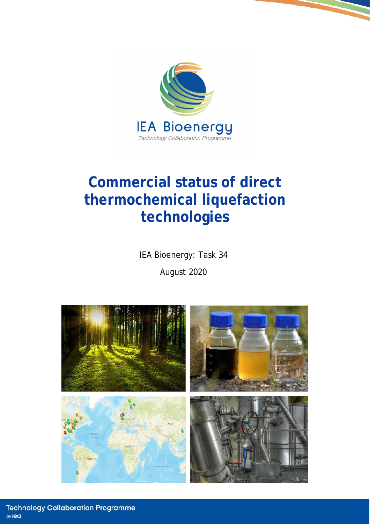

# **Commercial status of direct thermochemical liquefaction technologies**

IEA Bioenergy: Task 34

August 2020

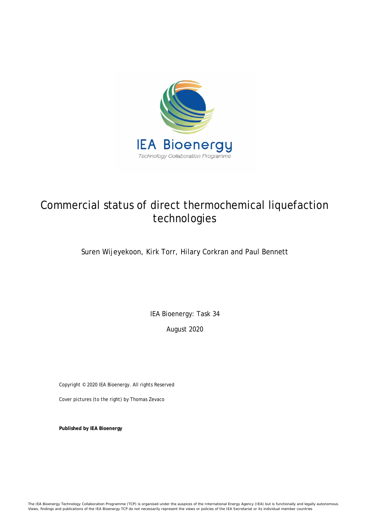

## Commercial status of direct thermochemical liquefaction technologies

### Suren Wijeyekoon, Kirk Torr, Hilary Corkran and Paul Bennett

IEA Bioenergy: Task 34

August 2020

Copyright © 2020 IEA Bioenergy. All rights Reserved

Cover pictures (to the right) by Thomas Zevaco

**Published by IEA Bioenergy**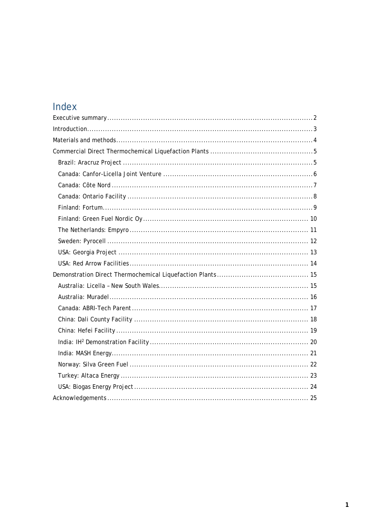## Index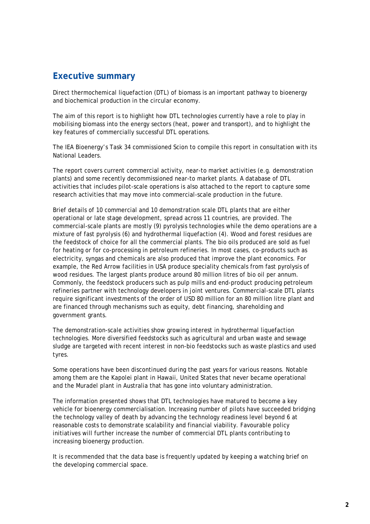### <span id="page-3-0"></span>**Executive summary**

Direct thermochemical liquefaction (DTL) of biomass is an important pathway to bioenergy and biochemical production in the circular economy.

The aim of this report is to highlight how DTL technologies currently have a role to play in mobilising biomass into the energy sectors (heat, power and transport), and to highlight the key features of commercially successful DTL operations.

The IEA Bioenergy's Task 34 commissioned Scion to compile this report in consultation with its National Leaders.

The report covers current commercial activity, near-to market activities (e.g. demonstration plants) and some recently decommissioned near-to market plants. A database of DTL activities that includes pilot-scale operations is also attached to the report to capture some research activities that may move into commercial-scale production in the future.

Brief details of 10 commercial and 10 demonstration scale DTL plants that are either operational or late stage development, spread across 11 countries, are provided. The commercial-scale plants are mostly (9) pyrolysis technologies while the demo operations are a mixture of fast pyrolysis (6) and hydrothermal liquefaction (4). Wood and forest residues are the feedstock of choice for all the commercial plants. The bio oils produced are sold as fuel for heating or for co-processing in petroleum refineries. In most cases, co-products such as electricity, syngas and chemicals are also produced that improve the plant economics. For example, the Red Arrow facilities in USA produce speciality chemicals from fast pyrolysis of wood residues. The largest plants produce around 80 million litres of bio oil per annum. Commonly, the feedstock producers such as pulp mills and end-product producing petroleum refineries partner with technology developers in joint ventures. Commercial-scale DTL plants require significant investments of the order of USD 80 million for an 80 million litre plant and are financed through mechanisms such as equity, debt financing, shareholding and government grants.

The demonstration-scale activities show growing interest in hydrothermal liquefaction technologies. More diversified feedstocks such as agricultural and urban waste and sewage sludge are targeted with recent interest in non-bio feedstocks such as waste plastics and used tyres.

Some operations have been discontinued during the past years for various reasons. Notable among them are the Kapolei plant in Hawaii, United States that never became operational and the Muradel plant in Australia that has gone into voluntary administration.

The information presented shows that DTL technologies have matured to become a key vehicle for bioenergy commercialisation. Increasing number of pilots have succeeded bridging the technology valley of death by advancing the technology readiness level beyond 6 at reasonable costs to demonstrate scalability and financial viability. Favourable policy initiatives will further increase the number of commercial DTL plants contributing to increasing bioenergy production.

It is recommended that the data base is frequently updated by keeping a watching brief on the developing commercial space.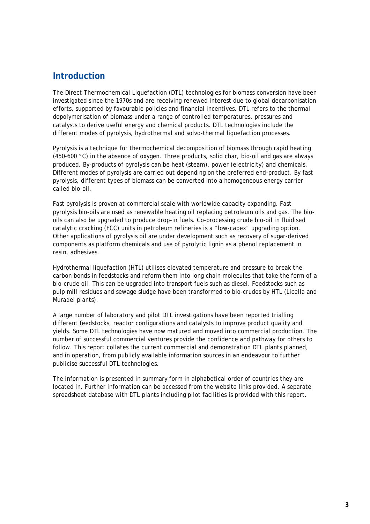### <span id="page-4-0"></span>**Introduction**

The Direct Thermochemical Liquefaction (DTL) technologies for biomass conversion have been investigated since the 1970s and are receiving renewed interest due to global decarbonisation efforts, supported by favourable policies and financial incentives. DTL refers to the thermal depolymerisation of biomass under a range of controlled temperatures, pressures and catalysts to derive useful energy and chemical products. DTL technologies include the different modes of pyrolysis, hydrothermal and solvo-thermal liquefaction processes.

Pyrolysis is a technique for thermochemical decomposition of biomass through rapid heating (450-600  $\degree$ C) in the absence of oxygen. Three products, solid char, bio-oil and gas are always produced. By-products of pyrolysis can be heat (steam), power (electricity) and chemicals. Different modes of pyrolysis are carried out depending on the preferred end-product. By fast pyrolysis, different types of biomass can be converted into a homogeneous energy carrier called bio-oil.

Fast pyrolysis is proven at commercial scale with worldwide capacity expanding. Fast pyrolysis bio-oils are used as renewable heating oil replacing petroleum oils and gas. The biooils can also be upgraded to produce drop-in fuels. Co-processing crude bio-oil in fluidised catalytic cracking (FCC) units in petroleum refineries is a "low-capex" upgrading option. Other applications of pyrolysis oil are under development such as recovery of sugar-derived components as platform chemicals and use of pyrolytic lignin as a phenol replacement in resin, adhesives.

Hydrothermal liquefaction (HTL) utilises elevated temperature and pressure to break the carbon bonds in feedstocks and reform them into long chain molecules that take the form of a bio-crude oil. This can be upgraded into transport fuels such as diesel. Feedstocks such as pulp mill residues and sewage sludge have been transformed to bio-crudes by HTL (Licella and Muradel plants).

A large number of laboratory and pilot DTL investigations have been reported trialling different feedstocks, reactor configurations and catalysts to improve product quality and yields. Some DTL technologies have now matured and moved into commercial production. The number of successful commercial ventures provide the confidence and pathway for others to follow. This report collates the current commercial and demonstration DTL plants planned, and in operation, from publicly available information sources in an endeavour to further publicise successful DTL technologies.

The information is presented in summary form in alphabetical order of countries they are located in. Further information can be accessed from the website links provided. A separate spreadsheet database with DTL plants including pilot facilities is provided with this report.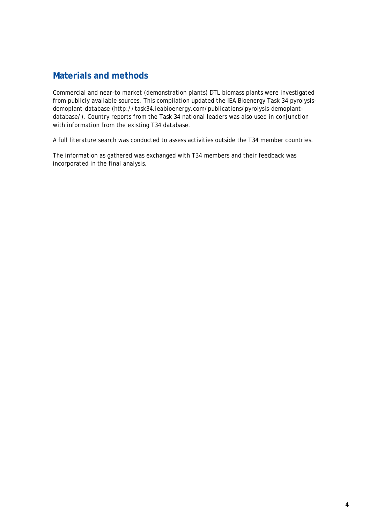## <span id="page-5-0"></span>**Materials and methods**

Commercial and near-to market (demonstration plants) DTL biomass plants were investigated from publicly available sources. This compilation updated the IEA Bioenergy Task 34 pyrolysisdemoplant-database (http://task34.ieabioenergy.com/publications/pyrolysis-demoplantdatabase/). Country reports from the Task 34 national leaders was also used in conjunction with information from the existing T34 database.

A full literature search was conducted to assess activities outside the T34 member countries.

The information as gathered was exchanged with T34 members and their feedback was incorporated in the final analysis.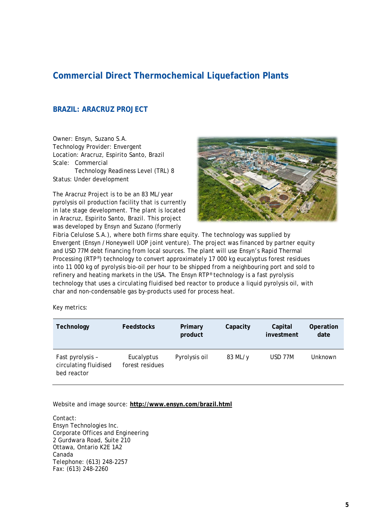## <span id="page-6-0"></span>**Commercial Direct Thermochemical Liquefaction Plants**

#### <span id="page-6-1"></span>**BRAZIL: ARACRUZ PROJECT**

Owner: Ensyn, Suzano S.A. Technology Provider: Envergent Location: Aracruz, Espirito Santo, Brazil Scale: Commercial Technology Readiness Level (TRL) 8 Status: Under development

The Aracruz Project is to be an 83 ML/year pyrolysis oil production facility that is currently in late stage development. The plant is located in Aracruz, Espirito Santo, Brazil. This project was developed by Ensyn and Suzano (formerly



Fibria Celulose S.A.), where both firms share equity. The technology was supplied by Envergent (Ensyn /Honeywell UOP joint venture). The project was financed by partner equity and USD 77M debt financing from local sources. The plant will use Ensyn's Rapid Thermal Processing (RTP®) technology to convert approximately 17 000 kg eucalyptus forest residues into 11 000 kg of pyrolysis bio-oil per hour to be shipped from a neighbouring port and sold to refinery and heating markets in the USA. The Ensyn RTP® technology is a fast pyrolysis technology that uses a circulating fluidised bed reactor to produce a liquid pyrolysis oil, with char and non-condensable gas by-products used for process heat.

Key metrics:

| Technology                                               | <b>Feedstocks</b>             | Primary<br>product | Capacity | Capital<br>investment | Operation<br>date |
|----------------------------------------------------------|-------------------------------|--------------------|----------|-----------------------|-------------------|
| Fast pyrolysis -<br>circulating fluidised<br>bed reactor | Eucalyptus<br>forest residues | Pyrolysis oil      | 83 ML/y  | USD 77M               | Unknown           |

#### Website and image source: **<http://www.ensyn.com/brazil.html>**

Contact: Ensyn Technologies Inc. Corporate Offices and Engineering 2 Gurdwara Road, Suite 210 Ottawa, Ontario K2E 1A2 Canada Telephone: (613) 248-2257 Fax: (613) 248-2260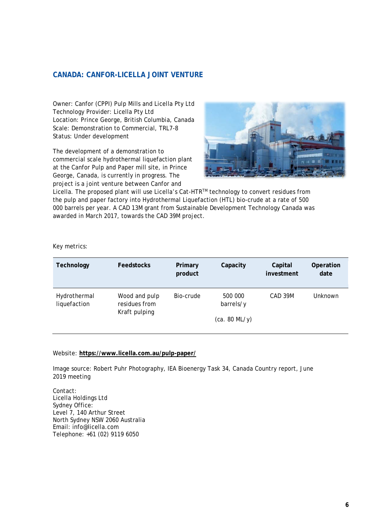#### <span id="page-7-0"></span>**CANADA: CANFOR-LICELLA JOINT VENTURE**

Owner: Canfor (CPPI) Pulp Mills and Licella Pty Ltd Technology Provider: Licella Pty Ltd Location: Prince George, British Columbia, Canada Scale: Demonstration to Commercial, TRL7-8 Status: Under development

The development of a demonstration to commercial scale hydrothermal liquefaction plant at the Canfor Pulp and Paper mill site, in Prince George, Canada, is currently in progress. The project is a joint venture between Canfor and



Licella. The proposed plant will use Licella's Cat-HTR™ technology to convert residues from the pulp and paper factory into Hydrothermal Liquefaction (HTL) bio-crude at a rate of 500 000 barrels per year. A CAD 13M grant from Sustainable Development Technology Canada was awarded in March 2017, towards the CAD 39M project.

Key metrics:

| Technology                   | <b>Feedstocks</b>                               | Primary<br>product | Capacity             | Capital<br>investment | Operation<br>date |
|------------------------------|-------------------------------------------------|--------------------|----------------------|-----------------------|-------------------|
| Hydrothermal<br>liquefaction | Wood and pulp<br>residues from<br>Kraft pulping | Bio-crude          | 500 000<br>barrels/y | CAD 39M               | Unknown           |
|                              |                                                 |                    | (ca. 80 ML/y)        |                       |                   |
|                              |                                                 |                    |                      |                       |                   |

#### Website: **<https://www.licella.com.au/pulp-paper/>**

Image source: Robert Puhr Photography, IEA Bioenergy Task 34, Canada Country report, June 2019 meeting

Contact: Licella Holdings Ltd Sydney Office: Level 7, 140 Arthur Street North Sydney NSW 2060 Australia Email: info@licella.com Telephone: +61 (02) 9119 6050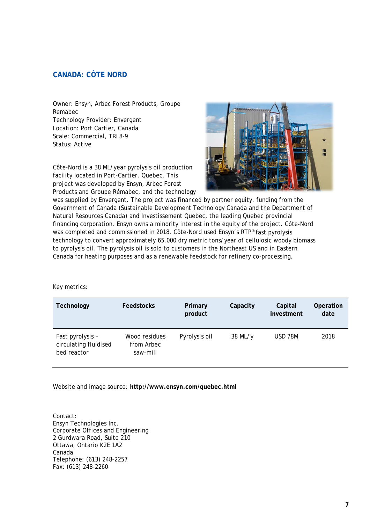#### <span id="page-8-0"></span>**CANADA: CÔTE NORD**

Owner: Ensyn, Arbec Forest Products, Groupe Remabec Technology Provider: Envergent Location: Port Cartier, Canada Scale: Commercial, TRL8-9 Status: Active

Côte-Nord is a 38 ML/year pyrolysis oil production facility located in Port-Cartier, Quebec. This project was developed by Ensyn, Arbec Forest Products and Groupe Rémabec, and the technology



was supplied by Envergent. The project was financed by partner equity, funding from the Government of Canada (Sustainable Development Technology Canada and the Department of Natural Resources Canada) and Investissement Quebec, the leading Quebec provincial financing corporation. Ensyn owns a minority interest in the equity of the project. Côte-Nord was completed and commissioned in 2018. Côte-Nord used Ensyn's RTP® fast pyrolysis technology to convert approximately 65,000 dry metric tons/year of cellulosic woody biomass to pyrolysis oil. The pyrolysis oil is sold to customers in the Northeast US and in Eastern Canada for heating purposes and as a renewable feedstock for refinery co-processing.

#### Key metrics:

| Technology                                               | <b>Feedstocks</b>                       | Primary<br>product | Capacity | Capital<br>investment | Operation<br>date |
|----------------------------------------------------------|-----------------------------------------|--------------------|----------|-----------------------|-------------------|
| Fast pyrolysis -<br>circulating fluidised<br>bed reactor | Wood residues<br>from Arbec<br>saw-mill | Pyrolysis oil      | 38 ML/y  | <b>USD 78M</b>        | 2018              |

Website and image source: **<http://www.ensyn.com/quebec.html>**

Contact: Ensyn Technologies Inc. Corporate Offices and Engineering 2 Gurdwara Road, Suite 210 Ottawa, Ontario K2E 1A2 Canada Telephone: (613) 248-2257 Fax: (613) 248-2260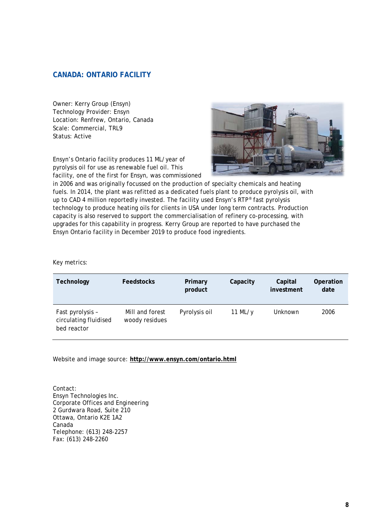#### <span id="page-9-0"></span>**CANADA: ONTARIO FACILITY**

Owner: Kerry Group (Ensyn) Technology Provider: Ensyn Location: Renfrew, Ontario, Canada Scale: Commercial, TRL9 Status: Active

Ensyn's Ontario facility produces 11 ML/year of pyrolysis oil for use as renewable fuel oil. This facility, one of the first for Ensyn, was commissioned



in 2006 and was originally focussed on the production of specialty chemicals and heating fuels. In 2014, the plant was refitted as a dedicated fuels plant to produce pyrolysis oil, with up to CAD 4 million reportedly invested. The facility used Ensyn's RTP® fast pyrolysis technology to produce heating oils for clients in USA under long term contracts. Production capacity is also reserved to support the commercialisation of refinery co-processing, with upgrades for this capability in progress. Kerry Group are reported to have purchased the Ensyn Ontario facility in December 2019 to produce food ingredients.

Key metrics:

| Technology                                               | <b>Feedstocks</b>                 | Primary<br>product | Capacity   | Capital<br>investment | Operation<br>date |
|----------------------------------------------------------|-----------------------------------|--------------------|------------|-----------------------|-------------------|
| Fast pyrolysis -<br>circulating fluidised<br>bed reactor | Mill and forest<br>woody residues | Pyrolysis oil      | 11 ML/ $y$ | Unknown               | 2006              |

Website and image source: **<http://www.ensyn.com/ontario.html>**

Contact: Ensyn Technologies Inc. Corporate Offices and Engineering 2 Gurdwara Road, Suite 210 Ottawa, Ontario K2E 1A2 Canada Telephone: (613) 248-2257 Fax: (613) 248-2260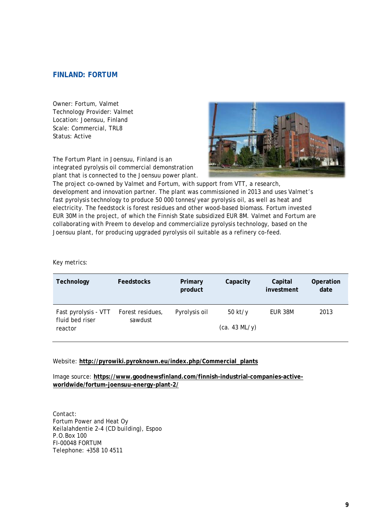#### <span id="page-10-0"></span>**FINLAND: FORTUM**

Owner: Fortum, Valmet Technology Provider: Valmet Location: Joensuu, Finland Scale: Commercial, TRL8 Status: Active

The Fortum Plant in Joensuu, Finland is an integrated pyrolysis oil commercial demonstration plant that is connected to the Joensuu power plant.



The project co-owned by Valmet and Fortum, with support from VTT, a research, development and innovation partner. The plant was commissioned in 2013 and uses Valmet's fast pyrolysis technology to produce 50 000 tonnes/year pyrolysis oil, as well as heat and electricity. The feedstock is forest residues and other wood-based biomass. Fortum invested EUR 30M in the project, of which the Finnish State subsidized EUR 8M. Valmet and Fortum are collaborating with Preem to develop and commercialize pyrolysis technology, based on the Joensuu plant, for producing upgraded pyrolysis oil suitable as a refinery co-feed.

Key metrics:

| Technology                 | <b>Feedstocks</b> | Primary<br>product | Capacity      | Capital<br>investment | Operation<br>date |
|----------------------------|-------------------|--------------------|---------------|-----------------------|-------------------|
| Fast pyrolysis - VTT       | Forest residues,  | Pyrolysis oil      | $50$ kt/y     | EUR 38M               | 2013              |
| fluid bed riser<br>reactor | sawdust           |                    | (ca. 43 ML/y) |                       |                   |

#### Website: **[http://pyrowiki.pyroknown.eu/index.php/Commercial\\_plants](http://pyrowiki.pyroknown.eu/index.php/Commercial_plants)**

Image source: **[https://www.goodnewsfinland.com/finnish-industrial-companies-active](https://www.goodnewsfinland.com/finnish-industrial-companies-active-worldwide/fortum-joensuu-energy-plant-2/)[worldwide/fortum-joensuu-energy-plant-2/](https://www.goodnewsfinland.com/finnish-industrial-companies-active-worldwide/fortum-joensuu-energy-plant-2/)**

Contact: Fortum Power and Heat Oy Keilalahdentie 2-4 (CD building), Espoo P.O.Box 100 FI-00048 FORTUM Telephone: +358 10 4511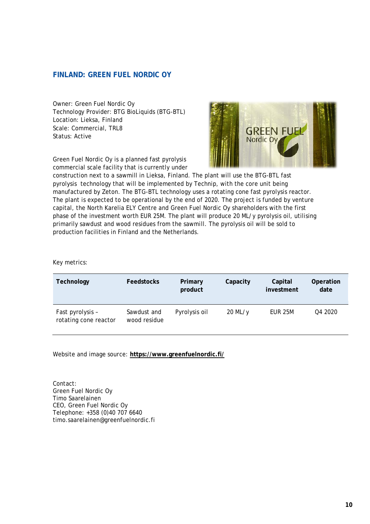#### <span id="page-11-0"></span>**FINLAND: GREEN FUEL NORDIC OY**

Owner: Green Fuel Nordic Oy Technology Provider: BTG BioLiquids (BTG-BTL) Location: Lieksa, Finland Scale: Commercial, TRL8 Status: Active

Green Fuel Nordic Oy is a planned fast pyrolysis commercial scale facility that is currently under



construction next to a sawmill in Lieksa, Finland. The plant will use the BTG-BTL fast pyrolysis technology that will be implemented by Technip, with the core unit being manufactured by Zeton. The BTG-BTL technology uses a rotating cone fast pyrolysis reactor. The plant is expected to be operational by the end of 2020. The project is funded by venture capital, the North Karelia ELY Centre and Green Fuel Nordic Oy shareholders with the first phase of the investment worth EUR 25M. The plant will produce 20 ML/y pyrolysis oil, utilising primarily sawdust and wood residues from the sawmill. The pyrolysis oil will be sold to production facilities in Finland and the Netherlands.

Key metrics:

| Technology                                | <b>Feedstocks</b>           | Primary<br>product | Capacity  | Capital<br>investment | Operation<br>date |
|-------------------------------------------|-----------------------------|--------------------|-----------|-----------------------|-------------------|
| Fast pyrolysis -<br>rotating cone reactor | Sawdust and<br>wood residue | Pyrolysis oil      | $20$ ML/y | EUR 25M               | Q4 2020           |

Website and image source: **<https://www.greenfuelnordic.fi/>**

Contact: Green Fuel Nordic Oy Timo Saarelainen CEO, Green Fuel Nordic Oy Telephone: +358 (0)40 707 6640 timo.saarelainen@greenfuelnordic.fi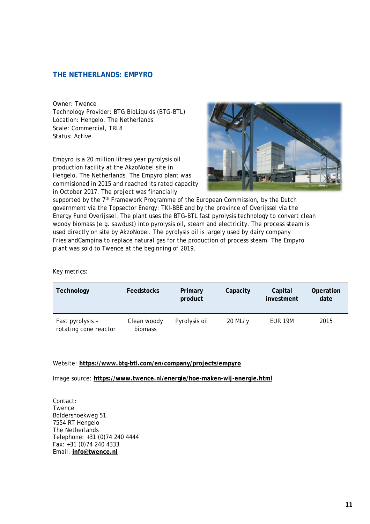#### <span id="page-12-0"></span>**THE NETHERLANDS: EMPYRO**

Owner: Twence Technology Provider: BTG BioLiquids (BTG-BTL) Location: Hengelo, The Netherlands Scale: Commercial, TRL8 Status: Active

Empyro is a 20 million litres/year pyrolysis oil production facility at the AkzoNobel site in Hengelo, The Netherlands. The Empyro plant was commisioned in 2015 and reached its rated capacity in October 2017. The project was financially



supported by the  $7<sup>th</sup>$  Framework Programme of the European Commission, by the Dutch government via the Topsector Energy: TKI-BBE and by the province of Overijssel via the Energy Fund Overijssel. The plant uses the BTG-BTL fast pyrolysis technology to convert clean woody biomass (e.g. sawdust) into pyrolysis oil, steam and electricity. The process steam is used directly on site by AkzoNobel. The pyrolysis oil is largely used by dairy company FrieslandCampina to replace natural gas for the production of process steam. The Empyro plant was sold to Twence at the beginning of 2019.

Key metrics:

| Technology                                | <b>Feedstocks</b>      | Primary<br>product | Capacity  | Capital<br>investment | Operation<br>date |
|-------------------------------------------|------------------------|--------------------|-----------|-----------------------|-------------------|
| Fast pyrolysis -<br>rotating cone reactor | Clean woody<br>biomass | Pyrolysis oil      | $20$ ML/y | EUR 19M               | 2015              |

#### Website: **<https://www.btg-btl.com/en/company/projects/empyro>**

Image source: **<https://www.twence.nl/energie/hoe-maken-wij-energie.html>**

Contact: Twence Boldershoekweg 51 7554 RT Hengelo The Netherlands Telephone: +31 (0)74 240 4444 Fax: +31 (0)74 240 4333 Email: **[info@twence.nl](mailto:info@twence.nl)**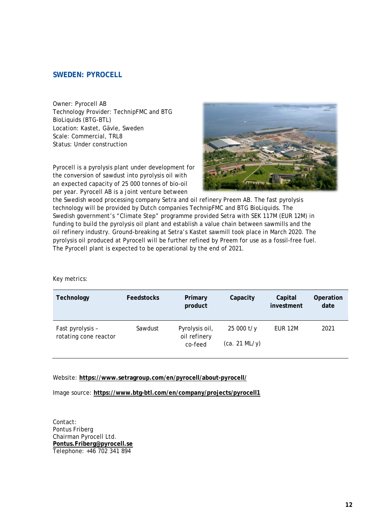#### <span id="page-13-0"></span>**SWEDEN: PYROCELL**

Owner: Pyrocell AB Technology Provider: TechnipFMC and BTG BioLiquids (BTG-BTL) Location: Kastet, Gävle, Sweden Scale: Commercial, TRL8 Status: Under construction

Pyrocell is a pyrolysis plant under development for the conversion of sawdust into pyrolysis oil with an expected capacity of 25 000 tonnes of bio-oil per year. Pyrocell AB is a joint venture between



the Swedish wood processing company Setra and oil refinery Preem AB. The fast pyrolysis technology will be provided by Dutch companies TechnipFMC and BTG BioLiquids. The Swedish government's "Climate Step" programme provided Setra with SEK 117M (EUR 12M) in funding to build the pyrolysis oil plant and establish a value chain between sawmills and the oil refinery industry. Ground-breaking at Setra's Kastet sawmill took place in March 2020. The pyrolysis oil produced at Pyrocell will be further refined by Preem for use as a fossil-free fuel. The Pyrocell plant is expected to be operational by the end of 2021.

#### Key metrics:

| Technology                                | <b>Feedstocks</b> | Primary<br>product                        | Capacity                     | Capital<br>investment | Operation<br>date |
|-------------------------------------------|-------------------|-------------------------------------------|------------------------------|-----------------------|-------------------|
| Fast pyrolysis -<br>rotating cone reactor | Sawdust           | Pyrolysis oil,<br>oil refinery<br>co-feed | $25000$ t/y<br>(ca. 21 ML/y) | EUR 12M               | 2021              |

#### Website: **<https://www.setragroup.com/en/pyrocell/about-pyrocell/>**

Image source: **<https://www.btg-btl.com/en/company/projects/pyrocell1>**

Contact: Pontus Friberg Chairman Pyrocell Ltd. **Pontus.Friberg@pyrocell.se** Telephone: +46 702 341 894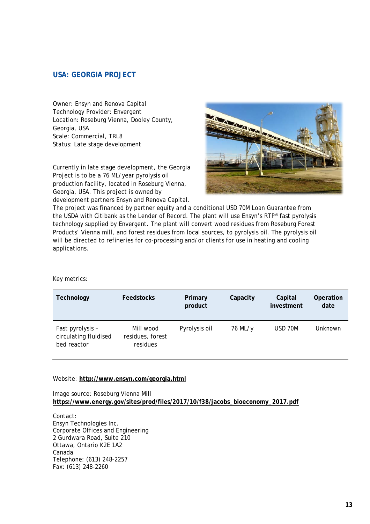#### <span id="page-14-0"></span>**USA: GEORGIA PROJECT**

Owner: Ensyn and Renova Capital Technology Provider: Envergent Location: Roseburg Vienna, Dooley County, Georgia, USA Scale: Commercial, TRL8 Status: Late stage development

Currently in late stage development, the Georgia Project is to be a 76 ML/year pyrolysis oil production facility, located in Roseburg Vienna, Georgia, USA. This project is owned by development partners Ensyn and Renova Capital.



The project was financed by partner equity and a conditional USD 70M Loan Guarantee from the USDA with Citibank as the Lender of Record. The plant will use Ensyn's RTP® fast pyrolysis technology supplied by Envergent. The plant will convert wood residues from Roseburg Forest Products' Vienna mill, and forest residues from local sources, to pyrolysis oil. The pyrolysis oil will be directed to refineries for co-processing and/or clients for use in heating and cooling applications.

Key metrics:

| Technology                                               | <b>Feedstocks</b>                         | Primary<br>product | Capacity | Capital<br>investment | Operation<br>date |
|----------------------------------------------------------|-------------------------------------------|--------------------|----------|-----------------------|-------------------|
| Fast pyrolysis -<br>circulating fluidised<br>bed reactor | Mill wood<br>residues, forest<br>residues | Pyrolysis oil      | 76 ML/y  | USD 70M               | Unknown           |

#### Website: **<http://www.ensyn.com/georgia.html>**

Image source: Roseburg Vienna Mill **[https://www.energy.gov/sites/prod/files/2017/10/f38/jacobs\\_bioeconomy\\_2017.pdf](https://www.energy.gov/sites/prod/files/2017/10/f38/jacobs_bioeconomy_2017.pdf)**

Contact: Ensyn Technologies Inc. Corporate Offices and Engineering 2 Gurdwara Road, Suite 210 Ottawa, Ontario K2E 1A2 Canada Telephone: (613) 248-2257 Fax: (613) 248-2260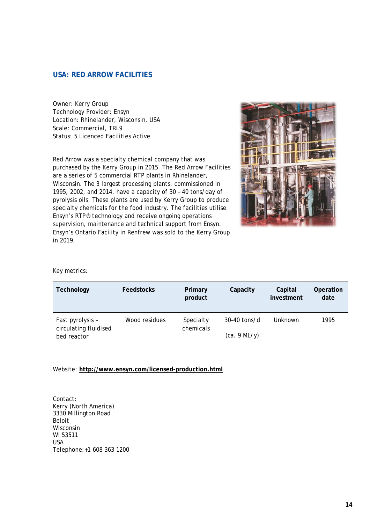#### <span id="page-15-0"></span>**USA: RED ARROW FACILITIES**

Owner: Kerry Group Technology Provider: Ensyn Location: Rhinelander, Wisconsin, USA Scale: Commercial, TRL9 Status: 5 Licenced Facilities Active

Red Arrow was a specialty chemical company that was purchased by the Kerry Group in 2015. The Red Arrow Facilities are a series of 5 commercial RTP plants in Rhinelander, Wisconsin. The 3 largest processing plants, commissioned in 1995, 2002, and 2014, have a capacity of 30 – 40 tons/day of pyrolysis oils. These plants are used by Kerry Group to produce specialty chemicals for the food industry. The facilities utilise Ensyn's RTP® technology and receive ongoing operations supervision, maintenance and technical support from Ensyn. Ensyn's Ontario Facility in Renfrew was sold to the Kerry Group in 2019.



#### Key metrics:

| Technology                                | <b>Feedstocks</b> | Primary<br>product     | Capacity       | Capital<br>investment | Operation<br>date |
|-------------------------------------------|-------------------|------------------------|----------------|-----------------------|-------------------|
| Fast pyrolysis -<br>circulating fluidised | Wood residues     | Specialty<br>chemicals | $30-40$ tons/d | Unknown               | 1995              |
| bed reactor                               |                   |                        | (ca. 9 ML/y)   |                       |                   |

#### Website: **<http://www.ensyn.com/licensed-production.html>**

Contact: Kerry (North America) 3330 Millington Road Beloit Wisconsin WI 53511 USA Telephone:+1 608 363 1200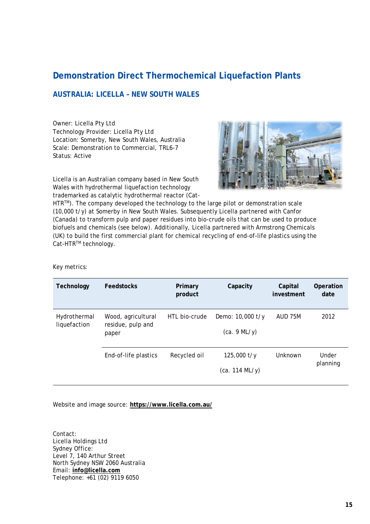## <span id="page-16-0"></span>**Demonstration Direct Thermochemical Liquefaction Plants**

#### <span id="page-16-1"></span>**AUSTRALIA: LICELLA – NEW SOUTH WALES**

Owner: Licella Pty Ltd Technology Provider: Licella Pty Ltd Location: Somerby, New South Wales, Australia Scale: Demonstration to Commercial, TRL6-7 Status: Active



Licella is an Australian company based in New South Wales with hydrothermal liquefaction technology trademarked as catalytic hydrothermal reactor (Cat-

HTR™). The company developed the technology to the large pilot or demonstration scale (10,000 t/y) at Somerby in New South Wales. Subsequently Licella partnered with Canfor (Canada) to transform pulp and paper residues into bio-crude oils that can be used to produce biofuels and chemicals (see below). Additionally, Licella partnered with Armstrong Chemicals (UK) to build the first commercial plant for chemical recycling of end-of-life plastics using the Cat-HTR™ technology.

Key metrics:

| Technology                   | <b>Feedstocks</b>                                | Primary<br>product | Capacity                         | Capital<br>investment | Operation<br>date |
|------------------------------|--------------------------------------------------|--------------------|----------------------------------|-----------------------|-------------------|
| Hydrothermal<br>liquefaction | Wood, agricultural<br>residue, pulp and<br>paper | HTL bio-crude      | Demo: 10,000 t/y<br>(ca. 9 ML/y) | AUD 75M               | 2012              |
|                              | End-of-life plastics                             | Recycled oil       | $125,000$ t/y<br>(ca. 114 ML/y)  | Unknown               | Under<br>planning |

Website and image source: **<https://www.licella.com.au/>**

Contact: Licella Holdings Ltd Sydney Office: Level 7, 140 Arthur Street North Sydney NSW 2060 Australia Email: **info@licella.com** Telephone: +61 (02) 9119 6050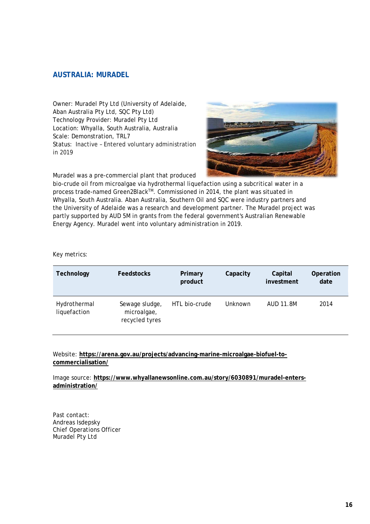#### <span id="page-17-0"></span>**AUSTRALIA: MURADEL**

Owner: Muradel Pty Ltd (University of Adelaide, Aban Australia Pty Ltd, SQC Pty Ltd) Technology Provider: Muradel Pty Ltd Location: Whyalla, South Australia, Australia Scale: Demonstration, TRL7 Status: Inactive – Entered voluntary administration in 2019



Muradel was a pre-commercial plant that produced

bio-crude oil from microalgae via hydrothermal liquefaction using a subcritical water in a process trade-named Green2Black™. Commissioned in 2014, the plant was situated in Whyalla, South Australia. Aban Australia, Southern Oil and SQC were industry partners and the University of Adelaide was a research and development partner. The Muradel project was partly supported by AUD 5M in grants from the federal government's Australian Renewable Energy Agency. Muradel went into voluntary administration in 2019.

#### Key metrics:

| Technology                   | <b>Feedstocks</b>                               | Primary<br>product | Capacity | Capital<br>investment | Operation<br>date |
|------------------------------|-------------------------------------------------|--------------------|----------|-----------------------|-------------------|
| Hydrothermal<br>liquefaction | Sewage sludge,<br>microalgae,<br>recycled tyres | HTL bio-crude      | Unknown  | AUD 11.8M             | 2014              |

Website: **[https://arena.gov.au/projects/advancing-marine-microalgae-biofuel-to](https://arena.gov.au/projects/advancing-marine-microalgae-biofuel-to-commercialisation/)[commercialisation/](https://arena.gov.au/projects/advancing-marine-microalgae-biofuel-to-commercialisation/)**

Image source: **[https://www.whyallanewsonline.com.au/story/6030891/muradel-enters](https://www.whyallanewsonline.com.au/story/6030891/muradel-enters-administration/)[administration/](https://www.whyallanewsonline.com.au/story/6030891/muradel-enters-administration/)**

Past contact: Andreas Isdepsky Chief Operations Officer Muradel Pty Ltd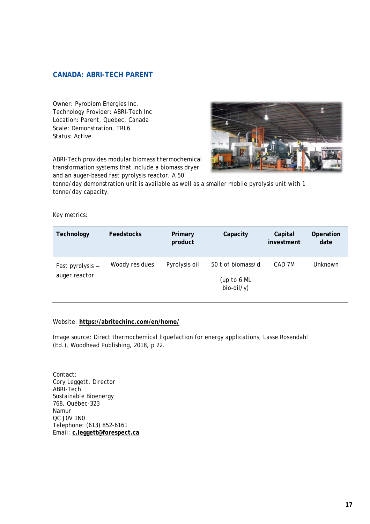#### <span id="page-18-0"></span>**CANADA: ABRI-TECH PARENT**

Owner: Pyrobiom Energies Inc. Technology Provider: ABRI-Tech Inc Location: Parent, Quebec, Canada Scale: Demonstration, TRL6 Status: Active

ABRI-Tech provides modular biomass thermochemical transformation systems that include a biomass dryer and an auger-based fast pyrolysis reactor. A 50



tonne/day demonstration unit is available as well as a smaller mobile pyrolysis unit with 1 tonne/day capacity.

#### Key metrics:

| Technology                        | <b>Feedstocks</b> | Primary<br>product | Capacity                                         | Capital<br>investment | Operation<br>date |
|-----------------------------------|-------------------|--------------------|--------------------------------------------------|-----------------------|-------------------|
| Fast pyrolysis -<br>auger reactor | Woody residues    | Pyrolysis oil      | 50 t of biomass/d<br>(up to 6 ML<br>$bio-oil/y)$ | CAD 7M                | Unknown           |

#### Website: **<https://abritechinc.com/en/home/>**

Image source: Direct thermochemical liquefaction for energy applications, Lasse Rosendahl (Ed.), Woodhead Publishing, 2018, p 22.

Contact: Cory Leggett, Director ABRI-Tech Sustainable Bioenergy 768, Québec-323 Namur QC J0V 1N0 Telephone: (613) 852-6161 Email: **c.leggett@forespect.ca**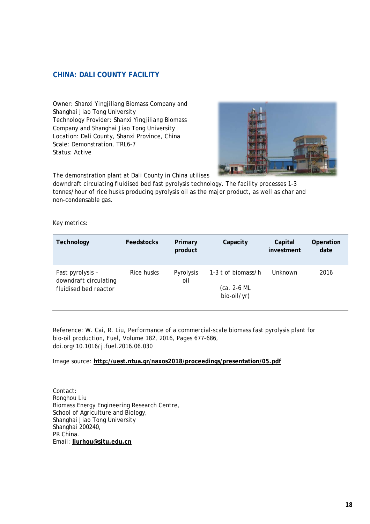#### <span id="page-19-0"></span>**CHINA: DALI COUNTY FACILITY**

Owner: Shanxi Yingjiliang Biomass Company and Shanghai Jiao Tong University Technology Provider: Shanxi Yingjiliang Biomass Company and Shanghai Jiao Tong University Location: Dali County, Shanxi Province, China Scale: Demonstration, TRL6-7 Status: Active



The demonstration plant at Dali County in China utilises

downdraft circulating fluidised bed fast pyrolysis technology. The facility processes 1-3 tonnes/hour of rice husks producing pyrolysis oil as the major product, as well as char and non-condensable gas.

Key metrics:

| Technology                                                         | <b>Feedstocks</b> | Primary<br>product | Capacity                                           | Capital<br>investment | Operation<br>date |
|--------------------------------------------------------------------|-------------------|--------------------|----------------------------------------------------|-----------------------|-------------------|
| Fast pyrolysis -<br>downdraft circulating<br>fluidised bed reactor | Rice husks        | Pyrolysis<br>oil   | 1-3 t of biomass/h<br>$(ca. 2-6 ML$<br>bio-oil/yr) | Unknown               | 2016              |

Reference: W. Cai, R. Liu, Performance of a commercial-scale biomass fast pyrolysis plant for bio-oil production, Fuel, Volume 182, 2016, Pages 677-686, doi.org/10.1016/j.fuel.2016.06.030

Image source: **<http://uest.ntua.gr/naxos2018/proceedings/presentation/05.pdf>**

Contact: Ronghou Liu Biomass Energy Engineering Research Centre, School of Agriculture and Biology, Shanghai Jiao Tong University Shanghai 200240, PR China. Email: **liurhou@sjtu.edu.cn**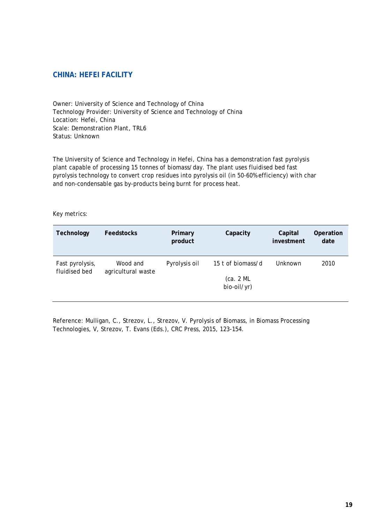#### <span id="page-20-0"></span>**CHINA: HEFEI FACILITY**

Owner: University of Science and Technology of China Technology Provider: University of Science and Technology of China Location: Hefei, China Scale: Demonstration Plant, TRL6 Status: Unknown

The University of Science and Technology in Hefei, China has a demonstration fast pyrolysis plant capable of processing 15 tonnes of biomass/day. The plant uses fluidised bed fast pyrolysis technology to convert crop residues into pyrolysis oil (in 50-60% efficiency) with char and non-condensable gas by-products being burnt for process heat.

#### Key metrics:

| Technology                       | Feedstocks                     | Primary<br>product | Capacity                 | Capital<br>investment | Operation<br>date |
|----------------------------------|--------------------------------|--------------------|--------------------------|-----------------------|-------------------|
| Fast pyrolysis,<br>fluidised bed | Wood and<br>agricultural waste | Pyrolysis oil      | 15 t of biomass/d        | Unknown               | 2010              |
|                                  |                                |                    | (ca. 2 ML<br>bio-oil/yr) |                       |                   |

Reference: Mulligan, C., Strezov, L., Strezov, V. Pyrolysis of Biomass, in Biomass Processing Technologies, V, Strezov, T. Evans (Eds.), CRC Press, 2015, 123-154.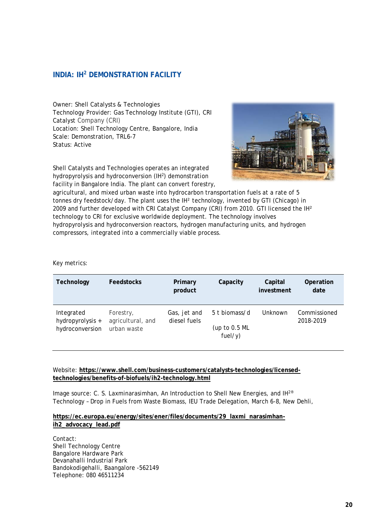#### <span id="page-21-0"></span>**INDIA: IH2 DEMONSTRATION FACILITY**

Owner: Shell Catalysts & Technologies Technology Provider: Gas Technology Institute (GTI), CRI Catalyst Company (CRI) Location: Shell Technology Centre, Bangalore, India Scale: Demonstration, TRL6-7 Status: Active

Shell Catalysts and Technologies operates an integrated hydropyrolysis and hydroconversion (IH<sup>2</sup>) demonstration facility in Bangalore India. The plant can convert forestry,



agricultural, and mixed urban waste into hydrocarbon transportation fuels at a rate of 5 tonnes dry feedstock/day. The plant uses the IH<sup>2</sup> technology, invented by GTI (Chicago) in 2009 and further developed with CRI Catalyst Company (CRI) from 2010. GTI licensed the IH² technology to CRI for exclusive worldwide deployment. The technology involves hydropyrolysis and hydroconversion reactors, hydrogen manufacturing units, and hydrogen compressors, integrated into a commercially viable process.

Key metrics:

| Technology                                        | <b>Feedstocks</b>                             | Primary<br>product           | Capacity                                  | Capital<br>investment | Operation<br>date         |
|---------------------------------------------------|-----------------------------------------------|------------------------------|-------------------------------------------|-----------------------|---------------------------|
| Integrated<br>hydropyrolysis +<br>hydroconversion | Forestry,<br>agricultural, and<br>urban waste | Gas, jet and<br>diesel fuels | 5 t biomass/d<br>(up to 0.5 ML<br>fuel/y) | Unknown               | Commissioned<br>2018-2019 |

#### Website: **[https://www.shell.com/business-customers/catalysts-technologies/licensed](https://www.shell.com/business-customers/catalysts-technologies/licensed-technologies/benefits-of-biofuels/ih2-technology.html)[technologies/benefits-of-biofuels/ih2-technology.html](https://www.shell.com/business-customers/catalysts-technologies/licensed-technologies/benefits-of-biofuels/ih2-technology.html)**

Image source: C. S. Laxminarasimhan, An Introduction to Shell New Energies, and IH2® Technology – Drop in Fuels from Waste Biomass, IEU Trade Delegation, March 6-8, New Dehli,

#### **https://ec.europa.eu/energy/sites/ener/files/documents/29\_laxmi\_narasimhanih2\_advocacy\_lead.pdf**

Contact: Shell Technology Centre Bangalore Hardware Park Devanahalli Industrial Park Bandokodigehalli, Baangalore -562149 Telephone: 080 46511234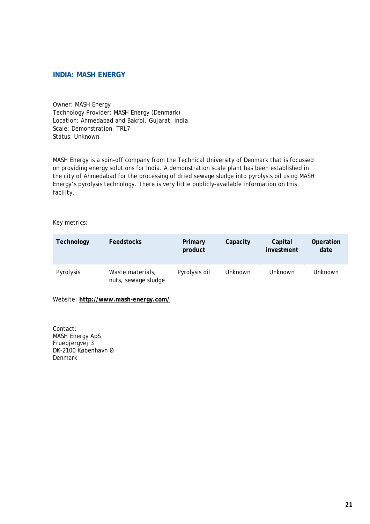#### <span id="page-22-0"></span>**INDIA: MASH ENERGY**

Owner: MASH Energy Technology Provider: MASH Energy (Denmark) Location: Ahmedabad and Bakrol, Gujarat, India Scale: Demonstration, TRL7 Status: Unknown

MASH Energy is a spin-off company from the Technical University of Denmark that is focussed on providing energy solutions for India. A demonstration scale plant has been established in the city of Ahmedabad for the processing of dried sewage sludge into pyrolysis oil using MASH Energy's pyrolysis technology. There is very little publicly-available information on this facility.

Key metrics:

| Technology | <b>Feedstocks</b>                       | Primary<br>product | Capacity       | Capital<br>investment | Operation<br>date |
|------------|-----------------------------------------|--------------------|----------------|-----------------------|-------------------|
| Pyrolysis  | Waste materials,<br>nuts, sewage sludge | Pyrolysis oil      | <b>Unknown</b> | <b>Unknown</b>        | Unknown           |

Website: **<http://www.mash-energy.com/>**

Contact: MASH Energy ApS Fruebjergvej 3 DK-2100 København Ø Denmark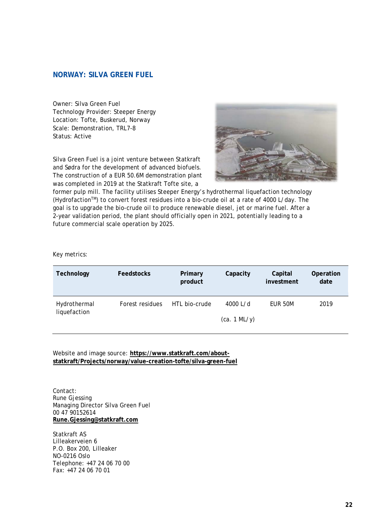#### <span id="page-23-0"></span>**NORWAY: SILVA GREEN FUEL**

Owner: Silva Green Fuel Technology Provider: Steeper Energy Location: Tofte, Buskerud, Norway Scale: Demonstration, TRL7-8 Status: Active

Silva Green Fuel is a joint venture between Statkraft and Sødra for the development of advanced biofuels. The construction of a EUR 50.6M demonstration plant was completed in 2019 at the Statkraft Tofte site, a



former pulp mill. The facility utilises Steeper Energy's hydrothermal liquefaction technology (HydrofactionTM) to convert forest residues into a bio-crude oil at a rate of 4000 L/day. The goal is to upgrade the bio-crude oil to produce renewable diesel, jet or marine fuel. After a 2-year validation period, the plant should officially open in 2021, potentially leading to a future commercial scale operation by 2025.

#### Key metrics:

| Technology                   | <b>Feedstocks</b> | Primary<br>product | Capacity                   | Capital<br>investment | Operation<br>date |
|------------------------------|-------------------|--------------------|----------------------------|-----------------------|-------------------|
| Hydrothermal<br>liquefaction | Forest residues   | HTL bio-crude      | 4000 $L/d$<br>(ca. 1 ML/y) | EUR 50M               | 2019              |

Website and image source: **[https://www.statkraft.com/about](https://www.statkraft.com/about-statkraft/Projects/norway/value-creation-tofte/silva-green-fuel)[statkraft/Projects/norway/value-creation-tofte/silva-green-fuel](https://www.statkraft.com/about-statkraft/Projects/norway/value-creation-tofte/silva-green-fuel)**

Contact: Rune Gjessing Managing Director Silva Green Fuel 00 47 90152614 **Rune.Gjessing@statkraft.com**

Statkraft AS Lilleakerveien 6 P.O. Box 200, Lilleaker NO-0216 Oslo Telephone: +47 24 06 70 00 Fax: +47 24 06 70 01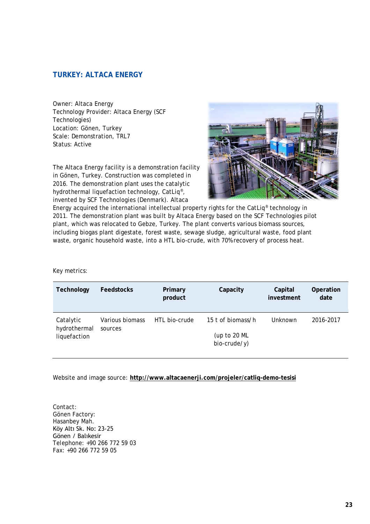#### <span id="page-24-0"></span>**TURKEY: ALTACA ENERGY**

Owner: Altaca Energy Technology Provider: Altaca Energy (SCF Technologies) Location: Gönen, Turkey Scale: Demonstration, TRL7 Status: Active

The Altaca Energy facility is a demonstration facility in Gönen, Turkey. Construction was completed in 2016. The demonstration plant uses the catalytic hydrothermal liquefaction technology, CatLiq®, invented by SCF Technologies (Denmark). Altaca



Energy acquired the international intellectual property rights for the CatLiq® technology in 2011. The demonstration plant was built by Altaca Energy based on the SCF Technologies pilot plant, which was relocated to Gebze, Turkey. The plant converts various biomass sources, including biogas plant digestate, forest waste, sewage sludge, agricultural waste, food plant waste, organic household waste, into a HTL bio-crude, with 70% recovery of process heat.

#### Key metrics:

| Feedstocks      | Primary<br>product | Capacity                         | Capital<br>investment | Operation<br>date |
|-----------------|--------------------|----------------------------------|-----------------------|-------------------|
| Various biomass | HTL bio-crude      | 15 t of biomass/h                | Unknown               | 2016-2017         |
|                 |                    | (up to 20 $ML$<br>$bio-crude/y)$ |                       |                   |
|                 | sources            |                                  |                       |                   |

Website and image source: **<http://www.altacaenerji.com/projeler/catliq-demo-tesisi>**

Contact: Gönen Factory: Hasanbey Mah. Köy Altı Sk. No: 23-25 Gönen / Balıkesir Telephone: +90 266 772 59 03 Fax: +90 266 772 59 05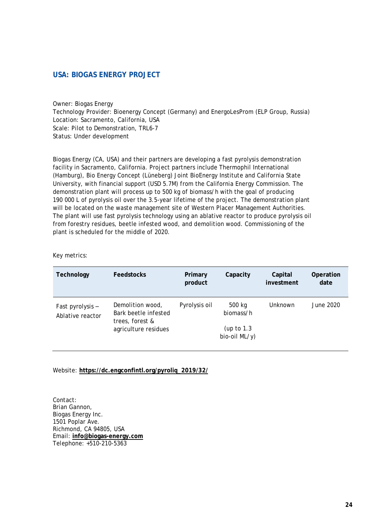#### <span id="page-25-0"></span>**USA: BIOGAS ENERGY PROJECT**

Owner: Biogas Energy Technology Provider: Bioenergy Concept (Germany) and EnergoLesProm (ELP Group, Russia) Location: Sacramento, California, USA Scale: Pilot to Demonstration, TRL6-7 Status: Under development

Biogas Energy (CA, USA) and their partners are developing a fast pyrolysis demonstration facility in Sacramento, California. Project partners include Thermophil International (Hamburg), Bio Energy Concept (Lüneberg) Joint BioEnergy Institute and California State University, with financial support (USD 5.7M) from the California Energy Commission. The demonstration plant will process up to 500 kg of biomass/h with the goal of producing 190 000 L of pyrolysis oil over the 3.5-year lifetime of the project. The demonstration plant will be located on the waste management site of Western Placer Management Authorities. The plant will use fast pyrolysis technology using an ablative reactor to produce pyrolysis oil from forestry residues, beetle infested wood, and demolition wood. Commissioning of the plant is scheduled for the middle of 2020.

#### Key metrics:

| Technology                           | <b>Feedstocks</b>                                           | Primary<br>product | Capacity                      | Capital<br>investment | Operation<br>date |
|--------------------------------------|-------------------------------------------------------------|--------------------|-------------------------------|-----------------------|-------------------|
| Fast pyrolysis -<br>Ablative reactor | Demolition wood,<br>Bark beetle infested<br>trees, forest & | Pyrolysis oil      | 500 kg<br>biomass/h           | <b>Unknown</b>        | June 2020         |
|                                      | agriculture residues                                        |                    | (up to $1.3$<br>bio-oil ML/y) |                       |                   |

#### Website: **[https://dc.engconfintl.org/pyroliq\\_2019/32/](https://dc.engconfintl.org/pyroliq_2019/32/)**

Contact: Brian Gannon, Biogas Energy Inc. 1501 Poplar Ave. Richmond, CA 94805, USA Email: **info@biogas-energy.com** Telephone: +510-210-5363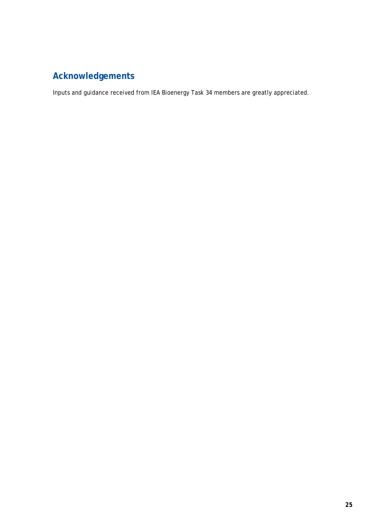## <span id="page-26-0"></span>**Acknowledgements**

Inputs and guidance received from IEA Bioenergy Task 34 members are greatly appreciated.